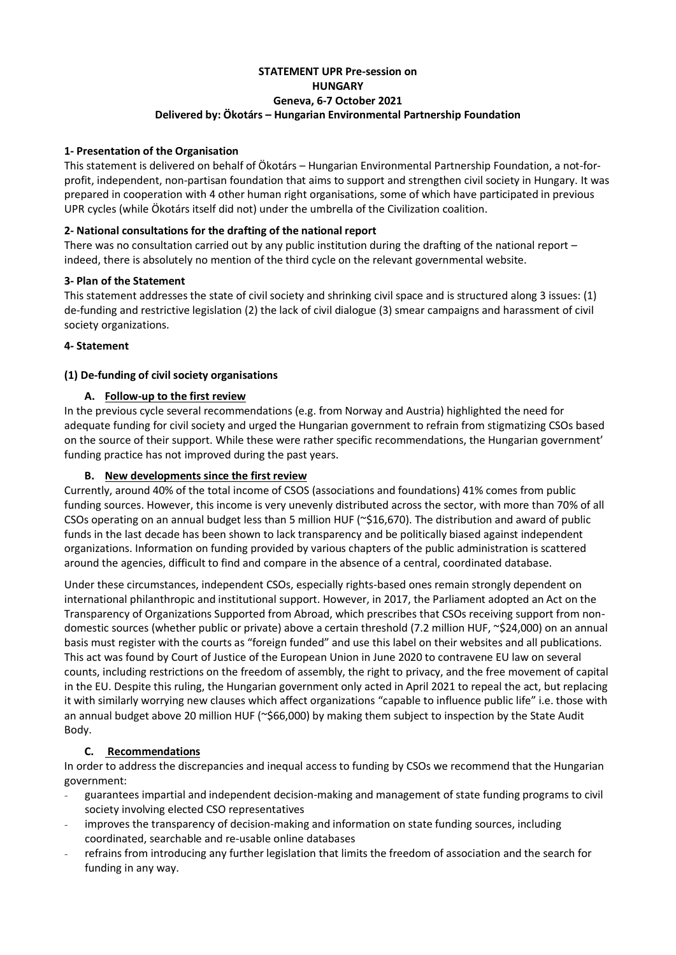# **STATEMENT UPR Pre-session on HUNGARY Geneva, 6-7 October 2021 Delivered by: Ökotárs – Hungarian Environmental Partnership Foundation**

### **1- Presentation of the Organisation**

This statement is delivered on behalf of Ökotárs – Hungarian Environmental Partnership Foundation, a not-forprofit, independent, non-partisan foundation that aims to support and strengthen civil society in Hungary. It was prepared in cooperation with 4 other human right organisations, some of which have participated in previous UPR cycles (while Ökotárs itself did not) under the umbrella of the Civilization coalition.

# **2- National consultations for the drafting of the national report**

There was no consultation carried out by any public institution during the drafting of the national report – indeed, there is absolutely no mention of the third cycle on the relevant governmental website.

# **3- Plan of the Statement**

This statement addresses the state of civil society and shrinking civil space and is structured along 3 issues: (1) de-funding and restrictive legislation (2) the lack of civil dialogue (3) smear campaigns and harassment of civil society organizations.

# **4- Statement**

# **(1) De-funding of civil society organisations**

# **A. Follow-up to the first review**

In the previous cycle several recommendations (e.g. from Norway and Austria) highlighted the need for adequate funding for civil society and urged the Hungarian government to refrain from stigmatizing CSOs based on the source of their support. While these were rather specific recommendations, the Hungarian government' funding practice has not improved during the past years.

### **B. New developments since the first review**

Currently, around 40% of the total income of CSOS (associations and foundations) 41% comes from public funding sources. However, this income is very unevenly distributed across the sector, with more than 70% of all CSOs operating on an annual budget less than 5 million HUF (~\$16,670). The distribution and award of public funds in the last decade has been shown to lack transparency and be politically biased against independent organizations. Information on funding provided by various chapters of the public administration is scattered around the agencies, difficult to find and compare in the absence of a central, coordinated database.

Under these circumstances, independent CSOs, especially rights-based ones remain strongly dependent on international philanthropic and institutional support. However, in 2017, the Parliament adopted an Act on the Transparency of Organizations Supported from Abroad, which prescribes that CSOs receiving support from nondomestic sources (whether public or private) above a certain threshold (7.2 million HUF, ~\$24,000) on an annual basis must register with the courts as "foreign funded" and use this label on their websites and all publications. This act was found by Court of Justice of the European Union in June 2020 to contravene EU law on several counts, including restrictions on the freedom of assembly, the right to privacy, and the free movement of capital in the EU. Despite this ruling, the Hungarian government only acted in April 2021 to repeal the act, but replacing it with similarly worrying new clauses which affect organizations "capable to influence public life" i.e. those with an annual budget above 20 million HUF (~\$66,000) by making them subject to inspection by the State Audit Body.

# **C. Recommendations**

In order to address the discrepancies and inequal access to funding by CSOs we recommend that the Hungarian government:

- guarantees impartial and independent decision-making and management of state funding programs to civil society involving elected CSO representatives
- improves the transparency of decision-making and information on state funding sources, including coordinated, searchable and re-usable online databases
- refrains from introducing any further legislation that limits the freedom of association and the search for funding in any way.